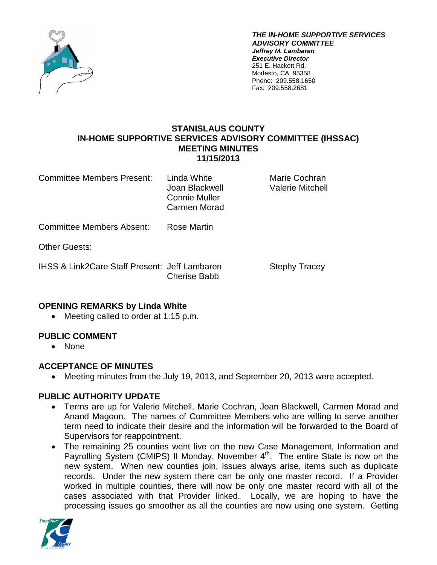

*THE IN-HOME SUPPORTIVE SERVICES ADVISORY COMMITTEE Jeffrey M. Lambaren Executive Director* 251 E. Hackett Rd. Modesto, CA 95358 Phone: 209.558.1650 Fax: 209.558.2681

## **STANISLAUS COUNTY IN-HOME SUPPORTIVE SERVICES ADVISORY COMMITTEE (IHSSAC) MEETING MINUTES 11/15/2013**

Committee Members Present: Linda White Marie Cochran

Connie Muller Carmen Morad

Joan Blackwell Valerie Mitchell

Committee Members Absent: Rose Martin

Other Guests:

IHSS & Link2Care Staff Present: Jeff Lambaren Stephy Tracey Cherise Babb

# **OPENING REMARKS by Linda White**

• Meeting called to order at 1:15 p.m.

# **PUBLIC COMMENT**

• None

### **ACCEPTANCE OF MINUTES**

• Meeting minutes from the July 19, 2013, and September 20, 2013 were accepted.

# **PUBLIC AUTHORITY UPDATE**

- Terms are up for Valerie Mitchell, Marie Cochran, Joan Blackwell, Carmen Morad and Anand Magoon. The names of Committee Members who are willing to serve another term need to indicate their desire and the information will be forwarded to the Board of Supervisors for reappointment.
- The remaining 25 counties went live on the new Case Management, Information and Payrolling System (CMIPS) II Monday, November 4<sup>th</sup>. The entire State is now on the new system. When new counties join, issues always arise, items such as duplicate records. Under the new system there can be only one master record. If a Provider worked in multiple counties, there will now be only one master record with all of the cases associated with that Provider linked. Locally, we are hoping to have the processing issues go smoother as all the counties are now using one system. Getting

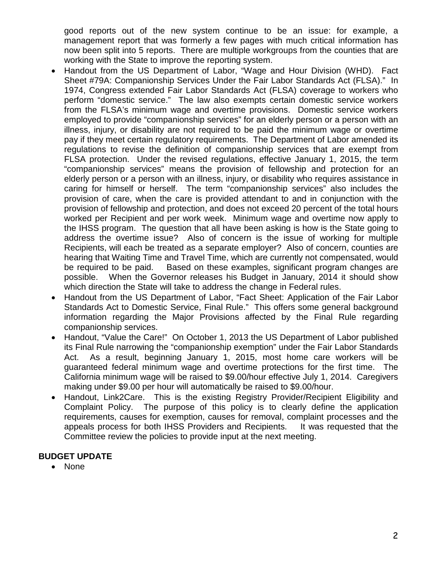good reports out of the new system continue to be an issue: for example, a management report that was formerly a few pages with much critical information has now been split into 5 reports. There are multiple workgroups from the counties that are working with the State to improve the reporting system.

- Handout from the US Department of Labor, "Wage and Hour Division (WHD). Fact Sheet #79A: Companionship Services Under the Fair Labor Standards Act (FLSA)." In 1974, Congress extended Fair Labor Standards Act (FLSA) coverage to workers who perform "domestic service." The law also exempts certain domestic service workers from the FLSA's minimum wage and overtime provisions. Domestic service workers employed to provide "companionship services" for an elderly person or a person with an illness, injury, or disability are not required to be paid the minimum wage or overtime pay if they meet certain regulatory requirements. The Department of Labor amended its regulations to revise the definition of companionship services that are exempt from FLSA protection. Under the revised regulations, effective January 1, 2015, the term "companionship services" means the provision of fellowship and protection for an elderly person or a person with an illness, injury, or disability who requires assistance in caring for himself or herself. The term "companionship services" also includes the provision of care, when the care is provided attendant to and in conjunction with the provision of fellowship and protection, and does not exceed 20 percent of the total hours worked per Recipient and per work week. Minimum wage and overtime now apply to the IHSS program. The question that all have been asking is how is the State going to address the overtime issue? Also of concern is the issue of working for multiple Recipients, will each be treated as a separate employer? Also of concern, counties are hearing that Waiting Time and Travel Time, which are currently not compensated, would be required to be paid. Based on these examples, significant program changes are possible. When the Governor releases his Budget in January, 2014 it should show which direction the State will take to address the change in Federal rules.
- Handout from the US Department of Labor, "Fact Sheet: Application of the Fair Labor Standards Act to Domestic Service, Final Rule." This offers some general background information regarding the Major Provisions affected by the Final Rule regarding companionship services.
- Handout, "Value the Care!" On October 1, 2013 the US Department of Labor published its Final Rule narrowing the "companionship exemption" under the Fair Labor Standards Act. As a result, beginning January 1, 2015, most home care workers will be guaranteed federal minimum wage and overtime protections for the first time. The California minimum wage will be raised to \$9.00/hour effective July 1, 2014. Caregivers making under \$9.00 per hour will automatically be raised to \$9.00/hour.
- Handout, Link2Care. This is the existing Registry Provider/Recipient Eligibility and Complaint Policy. The purpose of this policy is to clearly define the application requirements, causes for exemption, causes for removal, complaint processes and the appeals process for both IHSS Providers and Recipients. It was requested that the Committee review the policies to provide input at the next meeting.

# **BUDGET UPDATE**

• None